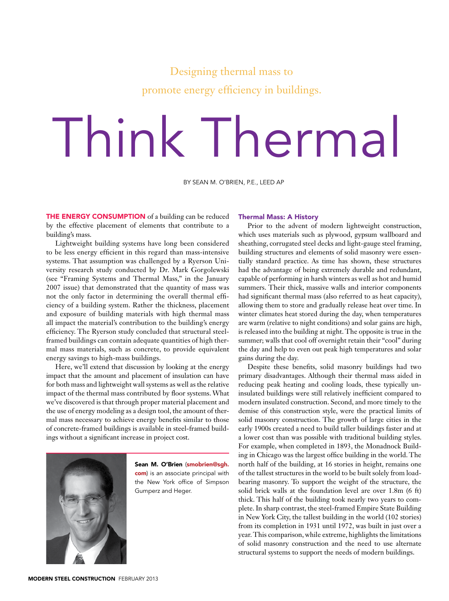## Designing thermal mass to promote energy efficiency in buildings.

# Think Thermal

By Sean M. O'Brien, P.E., LEED AP

THE ENERGY CONSUMPTION of a building can be reduced by the effective placement of elements that contribute to a building's mass.

Lightweight building systems have long been considered to be less energy efficient in this regard than mass-intensive systems. That assumption was challenged by a Ryerson University research study conducted by Dr. Mark Gorgolewski (see "Framing Systems and Thermal Mass," in the January 2007 issue) that demonstrated that the quantity of mass was not the only factor in determining the overall thermal efficiency of a building system. Rather the thickness, placement and exposure of building materials with high thermal mass all impact the material's contribution to the building's energy efficiency. The Ryerson study concluded that structural steelframed buildings can contain adequate quantities of high thermal mass materials, such as concrete, to provide equivalent energy savings to high-mass buildings.

Here, we'll extend that discussion by looking at the energy impact that the amount and placement of insulation can have for both mass and lightweight wall systems as well as the relative impact of the thermal mass contributed by floor systems. What we've discovered is that through proper material placement and the use of energy modeling as a design tool, the amount of thermal mass necessary to achieve energy benefits similar to those of concrete-framed buildings is available in steel-framed buildings without a significant increase in project cost.



Sean M. O'Brien (smobrien@sgh. com) is an associate principal with the New York office of Simpson Gumperz and Heger.

#### Thermal Mass: A History

Prior to the advent of modern lightweight construction, which uses materials such as plywood, gypsum wallboard and sheathing, corrugated steel decks and light-gauge steel framing, building structures and elements of solid masonry were essentially standard practice. As time has shown, these structures had the advantage of being extremely durable and redundant, capable of performing in harsh winters as well as hot and humid summers. Their thick, massive walls and interior components had significant thermal mass (also referred to as heat capacity), allowing them to store and gradually release heat over time. In winter climates heat stored during the day, when temperatures are warm (relative to night conditions) and solar gains are high, is released into the building at night. The opposite is true in the summer; walls that cool off overnight retain their "cool" during the day and help to even out peak high temperatures and solar gains during the day.

Despite these benefits, solid masonry buildings had two primary disadvantages. Although their thermal mass aided in reducing peak heating and cooling loads, these typically uninsulated buildings were still relatively inefficient compared to modern insulated construction. Second, and more timely to the demise of this construction style, were the practical limits of solid masonry construction. The growth of large cities in the early 1900s created a need to build taller buildings faster and at a lower cost than was possible with traditional building styles. For example, when completed in 1893, the Monadnock Building in Chicago was the largest office building in the world. The north half of the building, at 16 stories in height, remains one of the tallest structures in the world to be built solely from loadbearing masonry. To support the weight of the structure, the solid brick walls at the foundation level are over 1.8m (6 ft) thick. This half of the building took nearly two years to complete. In sharp contrast, the steel-framed Empire State Building in New York City, the tallest building in the world (102 stories) from its completion in 1931 until 1972, was built in just over a year. This comparison, while extreme, highlights the limitations of solid masonry construction and the need to use alternate structural systems to support the needs of modern buildings.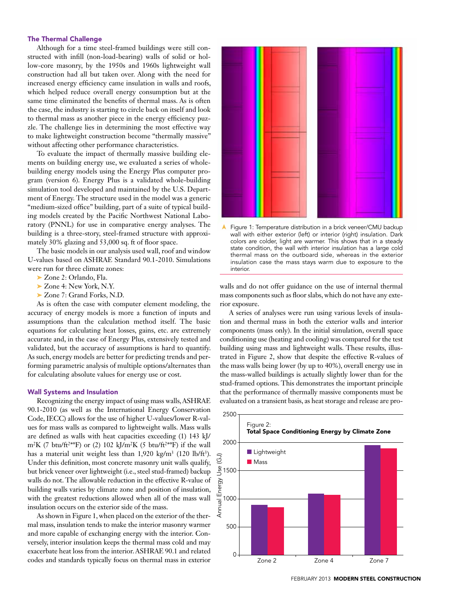### The Thermal Challenge

Although for a time steel-framed buildings were still constructed with infill (non-load-bearing) walls of solid or hollow-core masonry, by the 1950s and 1960s lightweight wall construction had all but taken over. Along with the need for increased energy efficiency came insulation in walls and roofs, which helped reduce overall energy consumption but at the same time eliminated the benefits of thermal mass. As is often the case, the industry is starting to circle back on itself and look to thermal mass as another piece in the energy efficiency puzzle. The challenge lies in determining the most effective way to make lightweight construction become "thermally massive" without affecting other performance characteristics.

To evaluate the impact of thermally massive building elements on building energy use, we evaluated a series of wholebuilding energy models using the Energy Plus computer program (version 6). Energy Plus is a validated whole-building simulation tool developed and maintained by the U.S. Department of Energy. The structure used in the model was a generic "medium-sized office" building, part of a suite of typical building models created by the Pacific Northwest National Laboratory (PNNL) for use in comparative energy analyses. The building is a three-story, steel-framed structure with approximately 30% glazing and 53,000 sq. ft of floor space.

The basic models in our analysis used wall, roof and window U-values based on ASHRAE Standard 90.1-2010. Simulations were run for three climate zones:

- ➤ Zone 2: Orlando, Fla.
- ➤ Zone 4: New York, N.Y.
- ➤ Zone 7: Grand Forks, N.D.

As is often the case with computer element modeling, the accuracy of energy models is more a function of inputs and assumptions than the calculation method itself. The basic equations for calculating heat losses, gains, etc. are extremely accurate and, in the case of Energy Plus, extensively tested and validated, but the accuracy of assumptions is hard to quantify. As such, energy models are better for predicting trends and performing parametric analysis of multiple options/alternates than for calculating absolute values for energy use or cost.

#### Wall Systems and Insulation

Recognizing the energy impact of using mass walls, ASHRAE 90.1-2010 (as well as the International Energy Conservation Code, IECC) allows for the use of higher U-values/lower R-values for mass walls as compared to lightweight walls. Mass walls are defined as walls with heat capacities exceeding (1) 143 kJ/ m<sup>2</sup>K (7 btu/ft<sup>2\*o</sup>F) or (2) 102 kJ/m<sup>2</sup>K (5 btu/ft<sup>2\*o</sup>F) if the wall has a material unit weight less than  $1,920 \text{ kg/m}^3$  (120 lb/ft<sup>3</sup>). Under this definition, most concrete masonry unit walls qualify, but brick veneer over lightweight (i.e., steel stud-framed) backup walls do not. The allowable reduction in the effective R-value of building walls varies by climate zone and position of insulation, with the greatest reductions allowed when all of the mass wall insulation occurs on the exterior side of the mass.

As shown in Figure 1, when placed on the exterior of the thermal mass, insulation tends to make the interior masonry warmer and more capable of exchanging energy with the interior. Conversely, interior insulation keeps the thermal mass cold and may exacerbate heat loss from the interior. ASHRAE 90.1 and related codes and standards typically focus on thermal mass in exterior



➤Figure 1: Temperature distribution in a brick veneer/CMU backup wall with either exterior (left) or interior (right) insulation. Dark colors are colder, light are warmer. This shows that in a steady state condition, the wall with interior insulation has a large cold thermal mass on the outboard side, whereas in the exterior insulation case the mass stays warm due to exposure to the interior.

walls and do not offer guidance on the use of internal thermal mass components such as floor slabs, which do not have any exterior exposure.

A series of analyses were run using various levels of insulation and thermal mass in both the exterior walls and interior components (mass only). In the initial simulation, overall space conditioning use (heating and cooling) was compared for the test building using mass and lightweight walls. These results, illustrated in Figure 2, show that despite the effective R-values of the mass walls being lower (by up to 40%), overall energy use in the mass-walled buildings is actually slightly lower than for the stud-framed options. This demonstrates the important principle that the performance of thermally massive components must be evaluated on a transient basis, as heat storage and release are pro-

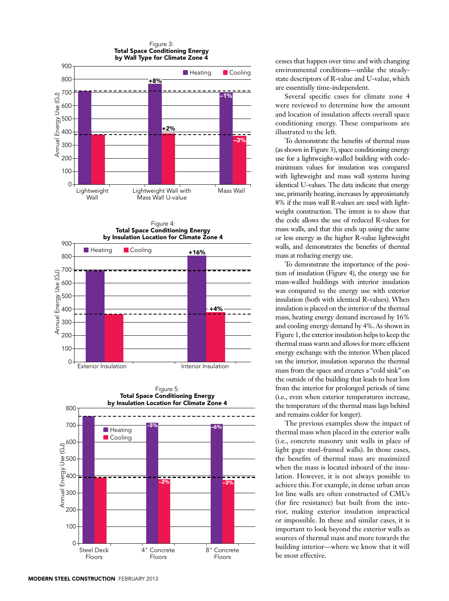





cesses that happen over time and with changing environmental conditions—unlike the steadystate descriptors of R-value and U-value, which are essentially time-independent.

Several specific cases for climate zone 4 were reviewed to determine how the amount and location of insulation affects overall space conditioning energy. These comparisons are illustrated to the left.

To demonstrate the benefits of thermal mass (as shown in Figure 3), space conditioning energy use for a lightweight-walled building with codeminimum values for insulation was compared with lightweight and mass wall systems having identical U-values. The data indicate that energy use, primarily heating, increases by approximately 8% if the mass wall R-values are used with lightweight construction. The intent is to show that the code allows the use of reduced R-values for mass walls, and that this ends up using the same or less energy as the higher R-value lightweight walls, and demonstrates the benefits of thermal mass at reducing energy use.

To demonstrate the importance of the position of insulation (Figure 4), the energy use for mass-walled buildings with interior insulation was compared to the energy use with exterior insulation (both with identical R-values). When insulation is placed on the interior of the thermal mass, heating energy demand increased by 16% and cooling energy demand by 4%. As shown in Figure 1, the exterior insulation helps to keep the thermal mass warm and allows for more efficient energy exchange with the interior. When placed on the interior, insulation separates the thermal mass from the space and creates a "cold sink" on the outside of the building that leads to heat loss from the interior for prolonged periods of time (i.e., even when exterior temperatures increase, the temperature of the thermal mass lags behind and remains colder for longer).

The previous examples show the impact of thermal mass when placed in the exterior walls (i.e., concrete masonry unit walls in place of light gage steel-framed walls). In those cases, the benefits of thermal mass are maximized when the mass is located inboard of the insulation. However, it is not always possible to achieve this. For example, in dense urban areas lot line walls are often constructed of CMUs (for fire resistance) but built from the interior, making exterior insulation impractical or impossible. In these and similar cases, it is important to look beyond the exterior walls as sources of thermal mass and more towards the building interior—where we know that it will be most effective.